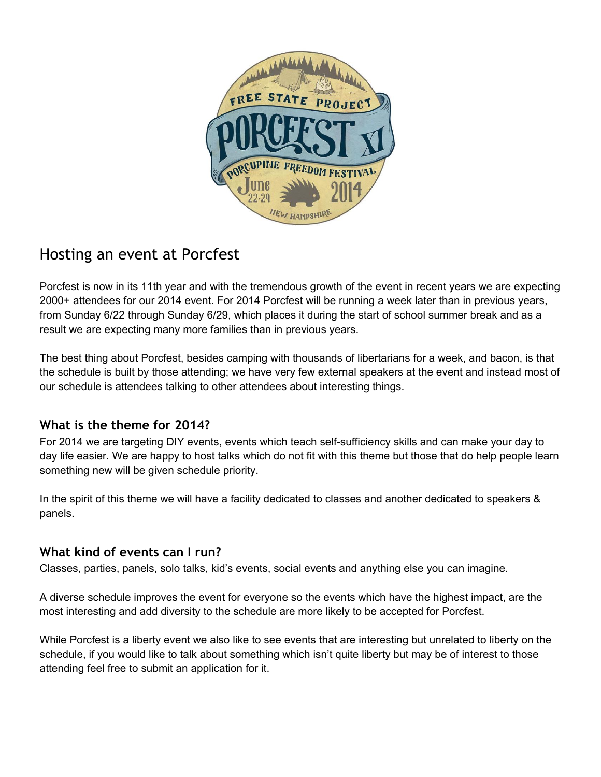

# Hosting an event at Porcfest

Porcfest is now in its 11th year and with the tremendous growth of the event in recent years we are expecting 2000+ attendees for our 2014 event. For 2014 Porcfest will be running a week later than in previous years, from Sunday 6/22 through Sunday 6/29, which places it during the start of school summer break and as a result we are expecting many more families than in previous years.

The best thing about Porcfest, besides camping with thousands of libertarians for a week, and bacon, is that the schedule is built by those attending; we have very few external speakers at the event and instead most of our schedule is attendees talking to other attendees about interesting things.

## **What is the theme for 2014?**

For 2014 we are targeting DIY events, events which teach self-sufficiency skills and can make your day to day life easier. We are happy to host talks which do not fit with this theme but those that do help people learn something new will be given schedule priority.

In the spirit of this theme we will have a facility dedicated to classes and another dedicated to speakers & panels.

## **What kind of events can I run?**

Classes, parties, panels, solo talks, kid's events, social events and anything else you can imagine.

A diverse schedule improves the event for everyone so the events which have the highest impact, are the most interesting and add diversity to the schedule are more likely to be accepted for Porcfest.

While Porcfest is a liberty event we also like to see events that are interesting but unrelated to liberty on the schedule, if you would like to talk about something which isn't quite liberty but may be of interest to those attending feel free to submit an application for it.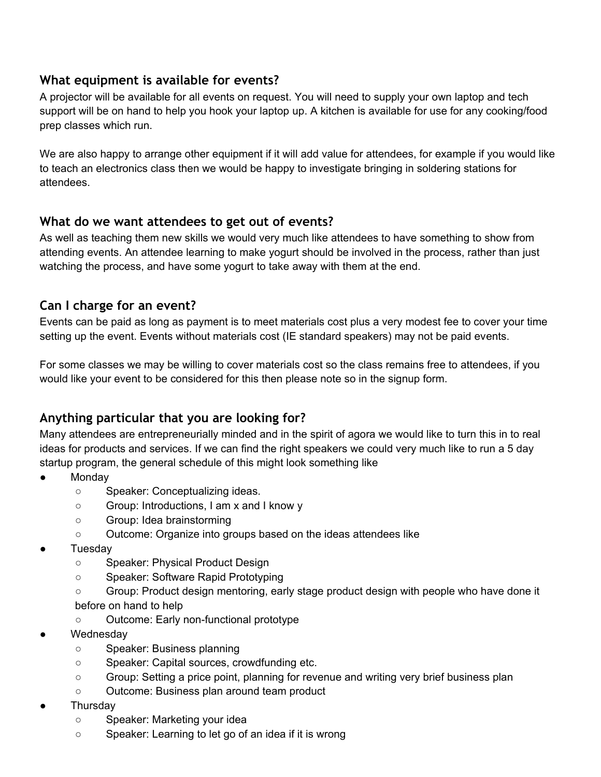### **What equipment is available for events?**

A projector will be available for all events on request. You will need to supply your own laptop and tech support will be on hand to help you hook your laptop up. A kitchen is available for use for any cooking/food prep classes which run.

We are also happy to arrange other equipment if it will add value for attendees, for example if you would like to teach an electronics class then we would be happy to investigate bringing in soldering stations for attendees.

#### **What do we want attendees to get out of events?**

As well as teaching them new skills we would very much like attendees to have something to show from attending events. An attendee learning to make yogurt should be involved in the process, rather than just watching the process, and have some yogurt to take away with them at the end.

#### **Can I charge for an event?**

Events can be paid as long as payment is to meet materials cost plus a very modest fee to cover your time setting up the event. Events without materials cost (IE standard speakers) may not be paid events.

For some classes we may be willing to cover materials cost so the class remains free to attendees, if you would like your event to be considered for this then please note so in the signup form.

## **Anything particular that you are looking for?**

Many attendees are entrepreneurially minded and in the spirit of agora we would like to turn this in to real ideas for products and services. If we can find the right speakers we could very much like to run a 5 day startup program, the general schedule of this might look something like

- **Monday** 
	- Speaker: Conceptualizing ideas.
	- Group: Introductions, I am x and I know y
	- Group: Idea brainstorming
	- Outcome: Organize into groups based on the ideas attendees like
- **Tuesday** 
	- Speaker: Physical Product Design
	- Speaker: Software Rapid Prototyping
	- Group: Product design mentoring, early stage product design with people who have done it before on hand to help
	- Outcome: Early non-functional prototype
- Wednesday
	- Speaker: Business planning
	- Speaker: Capital sources, crowdfunding etc.
	- Group: Setting a price point, planning for revenue and writing very brief business plan
	- Outcome: Business plan around team product
- **Thursday** 
	- Speaker: Marketing your idea
	- Speaker: Learning to let go of an idea if it is wrong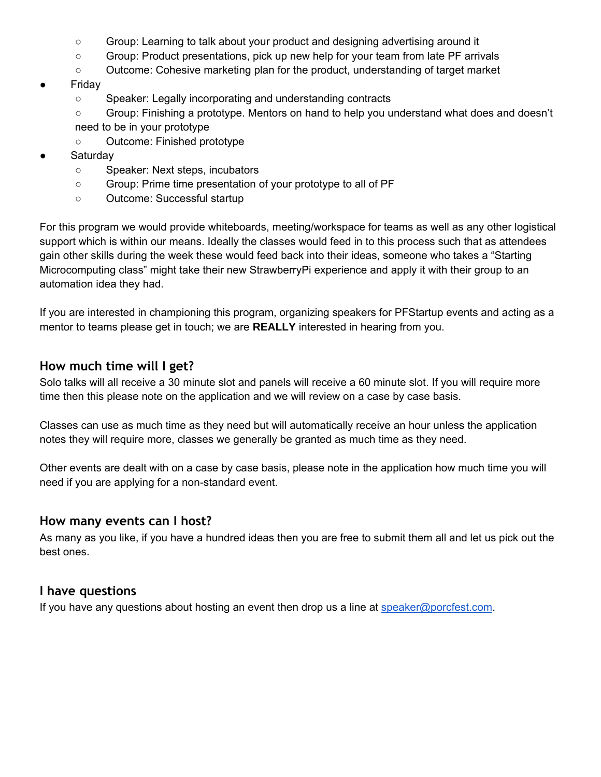- Group: Learning to talk about your product and designing advertising around it
- Group: Product presentations, pick up new help for your team from late PF arrivals
- Outcome: Cohesive marketing plan for the product, understanding of target market
- **Friday** 
	- Speaker: Legally incorporating and understanding contracts
	- Group: Finishing a prototype. Mentors on hand to help you understand what does and doesn't
	- need to be in your prototype
	- Outcome: Finished prototype
- Saturday
	- Speaker: Next steps, incubators
	- Group: Prime time presentation of your prototype to all of PF
	- Outcome: Successful startup

For this program we would provide whiteboards, meeting/workspace for teams as well as any other logistical support which is within our means. Ideally the classes would feed in to this process such that as attendees gain other skills during the week these would feed back into their ideas, someone who takes a "Starting Microcomputing class" might take their new StrawberryPi experience and apply it with their group to an automation idea they had.

If you are interested in championing this program, organizing speakers for PFStartup events and acting as a mentor to teams please get in touch; we are **REALLY** interested in hearing from you.

### **How much time will I get?**

Solo talks will all receive a 30 minute slot and panels will receive a 60 minute slot. If you will require more time then this please note on the application and we will review on a case by case basis.

Classes can use as much time as they need but will automatically receive an hour unless the application notes they will require more, classes we generally be granted as much time as they need.

Other events are dealt with on a case by case basis, please note in the application how much time you will need if you are applying for a non-standard event.

#### **How many events can I host?**

As many as you like, if you have a hundred ideas then you are free to submit them all and let us pick out the best ones.

#### **I have questions**

If you have any questions about hosting an event then drop us a line at [speaker@porcfest.com.](mailto:speaker@porcfest.com)